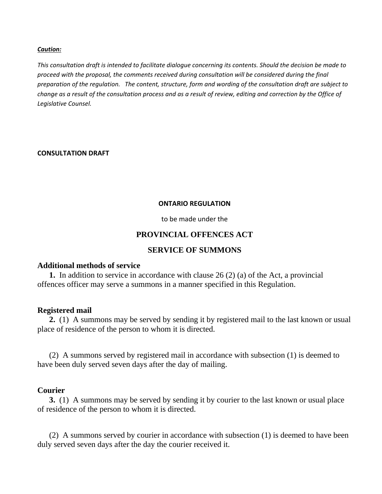#### *Caution:*

*This consultation draft is intended to facilitate dialogue concerning its contents. Should the decision be made to proceed with the proposal, the comments received during consultation will be considered during the final preparation of the regulation. The content, structure, form and wording of the consultation draft are subject to change as a result of the consultation process and as a result of review, editing and correction by the Office of Legislative Counsel.*

#### **CONSULTATION DRAFT**

#### **ONTARIO REGULATION**

to be made under the

## **PROVINCIAL OFFENCES ACT**

## **SERVICE OF SUMMONS**

## **Additional methods of service**

**1.** In addition to service in accordance with clause 26 (2) (a) of the Act, a provincial offences officer may serve a summons in a manner specified in this Regulation.

## **Registered mail**

**2.** (1) A summons may be served by sending it by registered mail to the last known or usual place of residence of the person to whom it is directed.

(2) A summons served by registered mail in accordance with subsection (1) is deemed to have been duly served seven days after the day of mailing.

## **Courier**

**3.** (1) A summons may be served by sending it by courier to the last known or usual place of residence of the person to whom it is directed.

(2) A summons served by courier in accordance with subsection (1) is deemed to have been duly served seven days after the day the courier received it.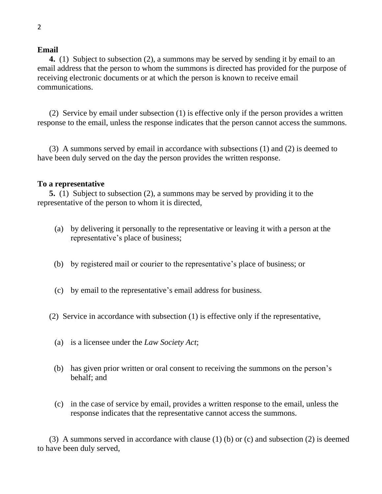#### **Email**

**4.** (1) Subject to subsection (2), a summons may be served by sending it by email to an email address that the person to whom the summons is directed has provided for the purpose of receiving electronic documents or at which the person is known to receive email communications.

(2) Service by email under subsection (1) is effective only if the person provides a written response to the email, unless the response indicates that the person cannot access the summons.

(3) A summons served by email in accordance with subsections (1) and (2) is deemed to have been duly served on the day the person provides the written response.

#### **To a representative**

**5.** (1) Subject to subsection (2), a summons may be served by providing it to the representative of the person to whom it is directed,

- (a) by delivering it personally to the representative or leaving it with a person at the representative's place of business;
- (b) by registered mail or courier to the representative's place of business; or
- (c) by email to the representative's email address for business.
- (2) Service in accordance with subsection (1) is effective only if the representative,
	- (a) is a licensee under the *Law Society Act*;
	- (b) has given prior written or oral consent to receiving the summons on the person's behalf; and
	- (c) in the case of service by email, provides a written response to the email, unless the response indicates that the representative cannot access the summons.

(3) A summons served in accordance with clause (1) (b) or (c) and subsection (2) is deemed to have been duly served,